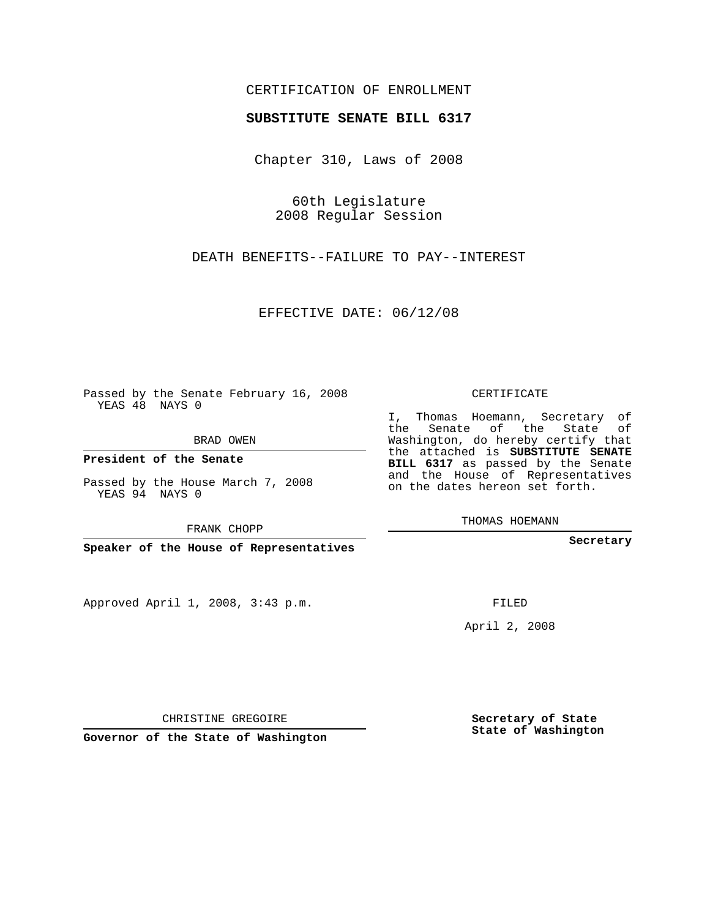## CERTIFICATION OF ENROLLMENT

## **SUBSTITUTE SENATE BILL 6317**

Chapter 310, Laws of 2008

60th Legislature 2008 Regular Session

DEATH BENEFITS--FAILURE TO PAY--INTEREST

EFFECTIVE DATE: 06/12/08

Passed by the Senate February 16, 2008 YEAS 48 NAYS 0

BRAD OWEN

**President of the Senate**

Passed by the House March 7, 2008 YEAS 94 NAYS 0

FRANK CHOPP

**Speaker of the House of Representatives**

Approved April 1, 2008, 3:43 p.m.

CERTIFICATE

I, Thomas Hoemann, Secretary of the Senate of the State of Washington, do hereby certify that the attached is **SUBSTITUTE SENATE BILL 6317** as passed by the Senate and the House of Representatives on the dates hereon set forth.

THOMAS HOEMANN

**Secretary**

FILED

April 2, 2008

**Secretary of State State of Washington**

CHRISTINE GREGOIRE

**Governor of the State of Washington**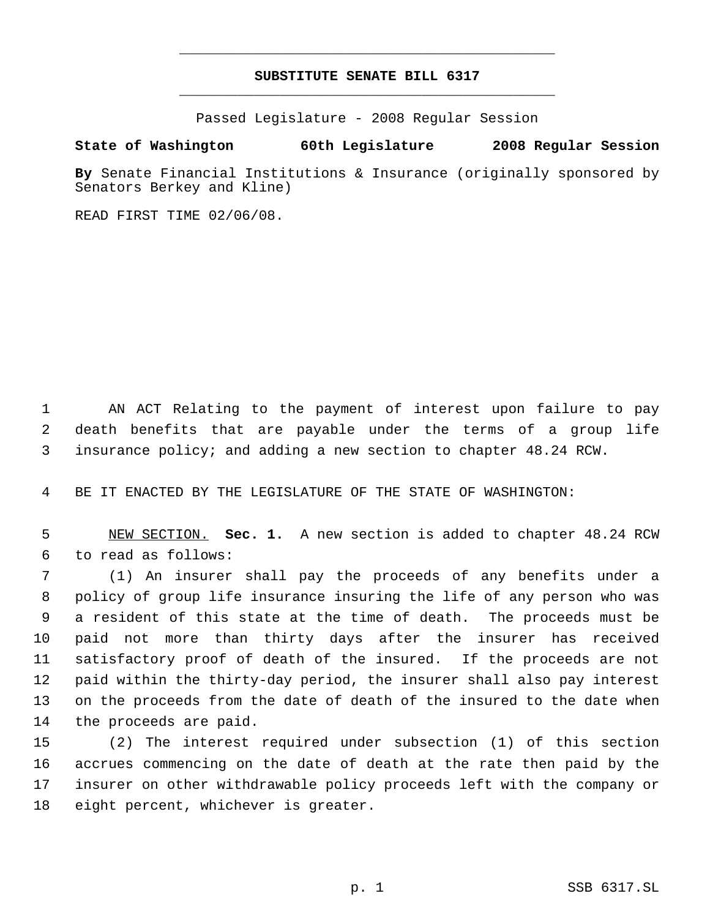## **SUBSTITUTE SENATE BILL 6317** \_\_\_\_\_\_\_\_\_\_\_\_\_\_\_\_\_\_\_\_\_\_\_\_\_\_\_\_\_\_\_\_\_\_\_\_\_\_\_\_\_\_\_\_\_

\_\_\_\_\_\_\_\_\_\_\_\_\_\_\_\_\_\_\_\_\_\_\_\_\_\_\_\_\_\_\_\_\_\_\_\_\_\_\_\_\_\_\_\_\_

Passed Legislature - 2008 Regular Session

## **State of Washington 60th Legislature 2008 Regular Session**

**By** Senate Financial Institutions & Insurance (originally sponsored by Senators Berkey and Kline)

READ FIRST TIME 02/06/08.

 AN ACT Relating to the payment of interest upon failure to pay death benefits that are payable under the terms of a group life insurance policy; and adding a new section to chapter 48.24 RCW.

BE IT ENACTED BY THE LEGISLATURE OF THE STATE OF WASHINGTON:

 NEW SECTION. **Sec. 1.** A new section is added to chapter 48.24 RCW to read as follows:

 (1) An insurer shall pay the proceeds of any benefits under a policy of group life insurance insuring the life of any person who was a resident of this state at the time of death. The proceeds must be paid not more than thirty days after the insurer has received satisfactory proof of death of the insured. If the proceeds are not paid within the thirty-day period, the insurer shall also pay interest on the proceeds from the date of death of the insured to the date when the proceeds are paid.

 (2) The interest required under subsection (1) of this section accrues commencing on the date of death at the rate then paid by the insurer on other withdrawable policy proceeds left with the company or eight percent, whichever is greater.